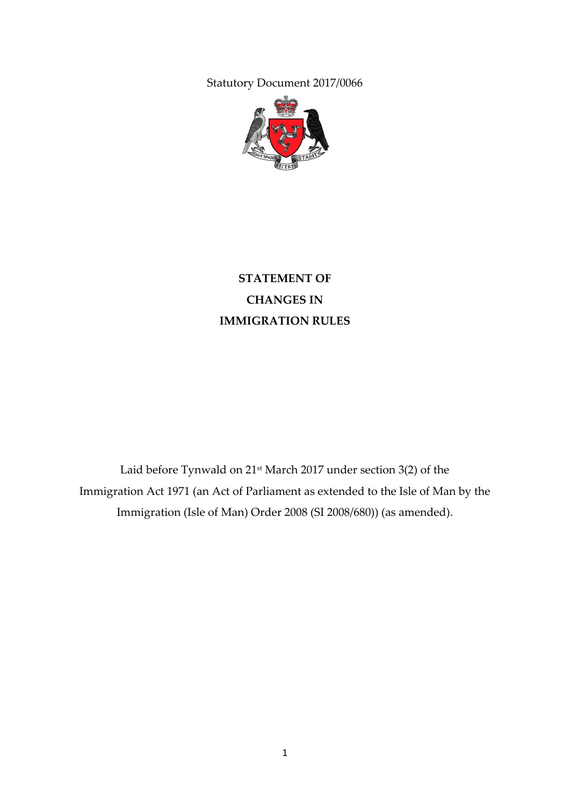Statutory Document 2017/0066



# **STATEMENT OF CHANGES IN IMMIGRATION RULES**

Laid before Tynwald on 21st March 2017 under section 3(2) of the Immigration Act 1971 (an Act of Parliament as extended to the Isle of Man by the Immigration (Isle of Man) Order 2008 (SI 2008/680)) (as amended).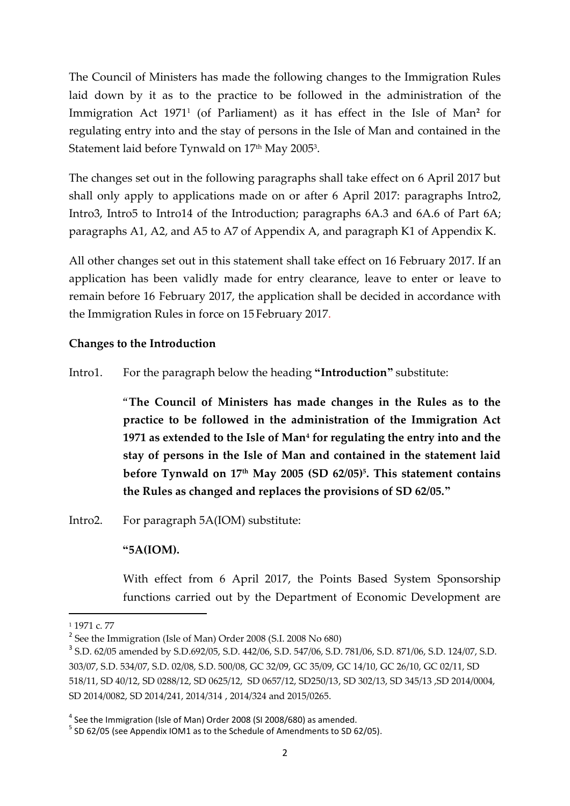The Council of Ministers has made the following changes to the Immigration Rules laid down by it as to the practice to be followed in the administration of the Immigration Act 1971<sup>1</sup> (of Parliament) as it has effect in the Isle of Man**<sup>2</sup>** for regulating entry into and the stay of persons in the Isle of Man and contained in the Statement laid before Tynwald on  $17^{\text{th}}$  May 2005 $^{\text{3}}$ .

The changes set out in the following paragraphs shall take effect on 6 April 2017 but shall only apply to applications made on or after 6 April 2017: paragraphs Intro2, Intro3, Intro5 to Intro14 of the Introduction; paragraphs 6A.3 and 6A.6 of Part 6A; paragraphs A1, A2, and A5 to A7 of Appendix A, and paragraph K1 of Appendix K.

All other changes set out in this statement shall take effect on 16 February 2017. If an application has been validly made for entry clearance, leave to enter or leave to remain before 16 February 2017, the application shall be decided in accordance with the Immigration Rules in force on 15 February 2017.

#### **Changes to the Introduction**

Intro1. For the paragraph below the heading **"Introduction"** substitute:

"**The Council of Ministers has made changes in the Rules as to the practice to be followed in the administration of the Immigration Act 1971 as extended to the Isle of Man<sup>4</sup> for regulating the entry into and the stay of persons in the Isle of Man and contained in the statement laid before Tynwald on 17th May 2005 (SD 62/05)<sup>5</sup> . This statement contains the Rules as changed and replaces the provisions of SD 62/05."**

Intro2. For paragraph 5A(IOM) substitute:

#### **"5A(IOM).**

With effect from 6 April 2017, the Points Based System Sponsorship functions carried out by the Department of Economic Development are

**.** 

<sup>1</sup> 1971 c. 77

<sup>&</sup>lt;sup>2</sup> See the Immigration (Isle of Man) Order 2008 (S.I. 2008 No 680)

<sup>3</sup> S.D. 62/05 amended by S.D.692/05, S.D. 442/06, S.D. 547/06, S.D. 781/06, S.D. 871/06, S.D. 124/07, S.D. 303/07, S.D. 534/07, S.D. 02/08, S.D. 500/08, GC 32/09, GC 35/09, GC 14/10, GC 26/10, GC 02/11, SD 518/11, SD 40/12, SD 0288/12, SD 0625/12, SD 0657/12, SD250/13, SD 302/13, SD 345/13 ,SD 2014/0004, SD 2014/0082, SD 2014/241, 2014/314 , 2014/324 and 2015/0265.

 $<sup>4</sup>$  See the Immigration (Isle of Man) Order 2008 (SI 2008/680) as amended.</sup>

<sup>&</sup>lt;sup>5</sup> SD 62/05 (see Appendix IOM1 as to the Schedule of Amendments to SD 62/05).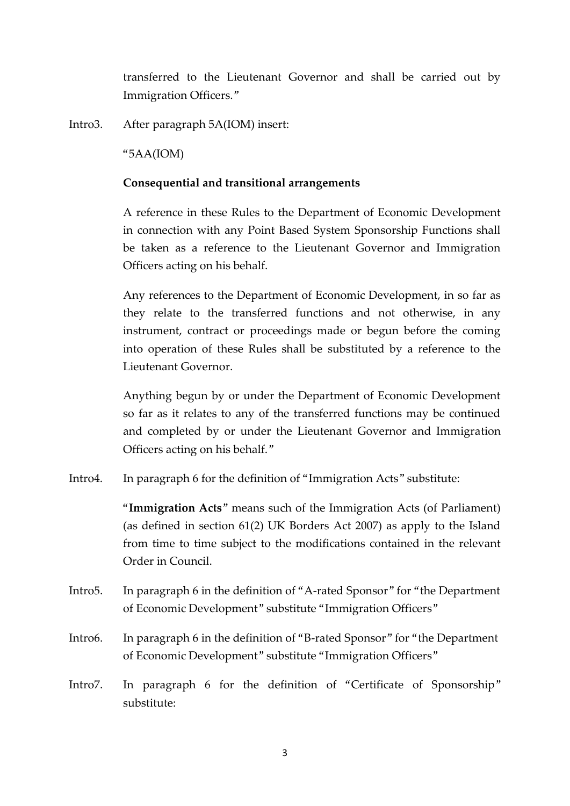transferred to the Lieutenant Governor and shall be carried out by Immigration Officers."

Intro3. After paragraph 5A(IOM) insert:

"5AA(IOM)

#### **Consequential and transitional arrangements**

A reference in these Rules to the Department of Economic Development in connection with any Point Based System Sponsorship Functions shall be taken as a reference to the Lieutenant Governor and Immigration Officers acting on his behalf.

Any references to the Department of Economic Development, in so far as they relate to the transferred functions and not otherwise, in any instrument, contract or proceedings made or begun before the coming into operation of these Rules shall be substituted by a reference to the Lieutenant Governor.

Anything begun by or under the Department of Economic Development so far as it relates to any of the transferred functions may be continued and completed by or under the Lieutenant Governor and Immigration Officers acting on his behalf."

Intro4. In paragraph 6 for the definition of "Immigration Acts" substitute:

"**Immigration Acts**" means such of the Immigration Acts (of Parliament) (as defined in section 61(2) UK Borders Act 2007) as apply to the Island from time to time subject to the modifications contained in the relevant Order in Council.

- Intro5. In paragraph 6 in the definition of "A-rated Sponsor" for "the Department of Economic Development" substitute "Immigration Officers"
- Intro6. In paragraph 6 in the definition of "B-rated Sponsor" for "the Department of Economic Development" substitute "Immigration Officers"
- Intro7. In paragraph 6 for the definition of "Certificate of Sponsorship" substitute: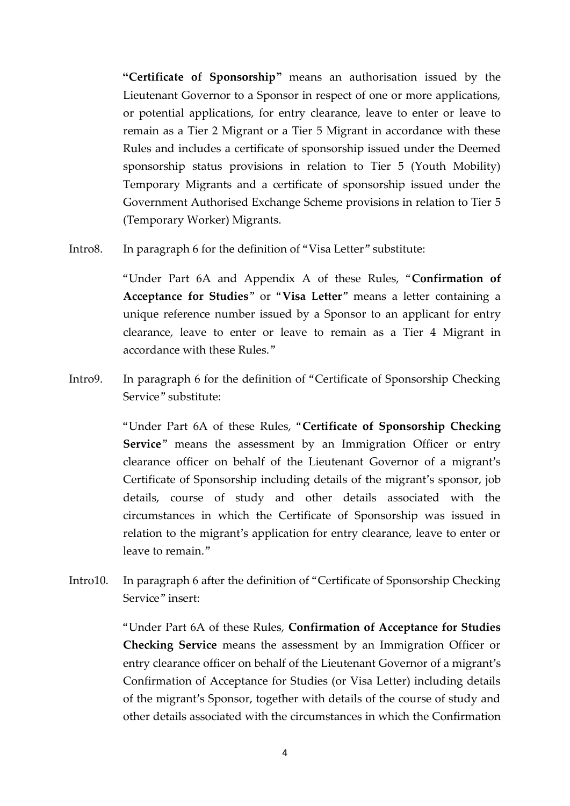**"Certificate of Sponsorship"** means an authorisation issued by the Lieutenant Governor to a Sponsor in respect of one or more applications, or potential applications, for entry clearance, leave to enter or leave to remain as a Tier 2 Migrant or a Tier 5 Migrant in accordance with these Rules and includes a certificate of sponsorship issued under the Deemed sponsorship status provisions in relation to Tier 5 (Youth Mobility) Temporary Migrants and a certificate of sponsorship issued under the Government Authorised Exchange Scheme provisions in relation to Tier 5 (Temporary Worker) Migrants.

Intro8. In paragraph 6 for the definition of "Visa Letter" substitute:

"Under Part 6A and Appendix A of these Rules, "**Confirmation of Acceptance for Studies**" or "**Visa Letter**" means a letter containing a unique reference number issued by a Sponsor to an applicant for entry clearance, leave to enter or leave to remain as a Tier 4 Migrant in accordance with these Rules."

Intro9. In paragraph 6 for the definition of "Certificate of Sponsorship Checking Service" substitute:

> "Under Part 6A of these Rules, "**Certificate of Sponsorship Checking Service**" means the assessment by an Immigration Officer or entry clearance officer on behalf of the Lieutenant Governor of a migrant's Certificate of Sponsorship including details of the migrant's sponsor, job details, course of study and other details associated with the circumstances in which the Certificate of Sponsorship was issued in relation to the migrant's application for entry clearance, leave to enter or leave to remain."

Intro10. In paragraph 6 after the definition of "Certificate of Sponsorship Checking Service" insert:

> "Under Part 6A of these Rules, **Confirmation of Acceptance for Studies Checking Service** means the assessment by an Immigration Officer or entry clearance officer on behalf of the Lieutenant Governor of a migrant's Confirmation of Acceptance for Studies (or Visa Letter) including details of the migrant's Sponsor, together with details of the course of study and other details associated with the circumstances in which the Confirmation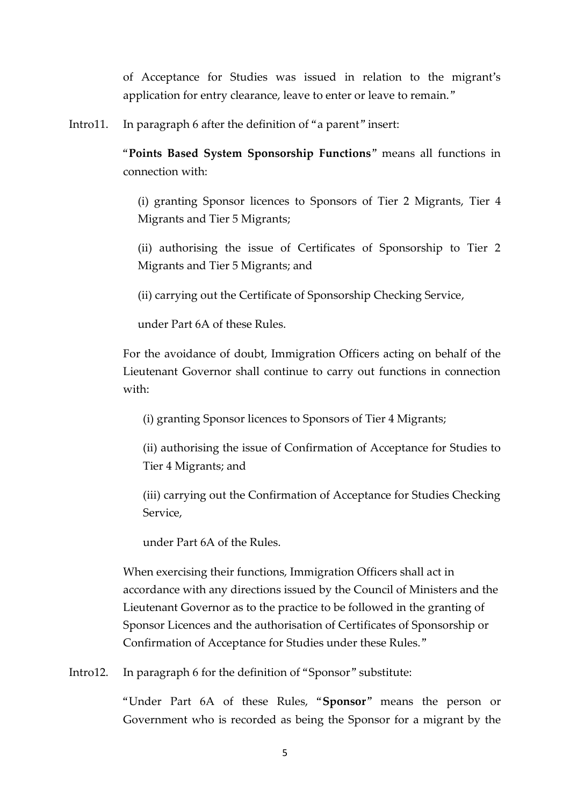of Acceptance for Studies was issued in relation to the migrant's application for entry clearance, leave to enter or leave to remain."

Intro11. In paragraph 6 after the definition of "a parent" insert:

"**Points Based System Sponsorship Functions**" means all functions in connection with:

(i) granting Sponsor licences to Sponsors of Tier 2 Migrants, Tier 4 Migrants and Tier 5 Migrants;

(ii) authorising the issue of Certificates of Sponsorship to Tier 2 Migrants and Tier 5 Migrants; and

(ii) carrying out the Certificate of Sponsorship Checking Service,

under Part 6A of these Rules.

For the avoidance of doubt, Immigration Officers acting on behalf of the Lieutenant Governor shall continue to carry out functions in connection with:

(i) granting Sponsor licences to Sponsors of Tier 4 Migrants;

(ii) authorising the issue of Confirmation of Acceptance for Studies to Tier 4 Migrants; and

(iii) carrying out the Confirmation of Acceptance for Studies Checking Service,

under Part 6A of the Rules.

When exercising their functions, Immigration Officers shall act in accordance with any directions issued by the Council of Ministers and the Lieutenant Governor as to the practice to be followed in the granting of Sponsor Licences and the authorisation of Certificates of Sponsorship or Confirmation of Acceptance for Studies under these Rules."

Intro12. In paragraph 6 for the definition of "Sponsor" substitute:

"Under Part 6A of these Rules, "**Sponsor**" means the person or Government who is recorded as being the Sponsor for a migrant by the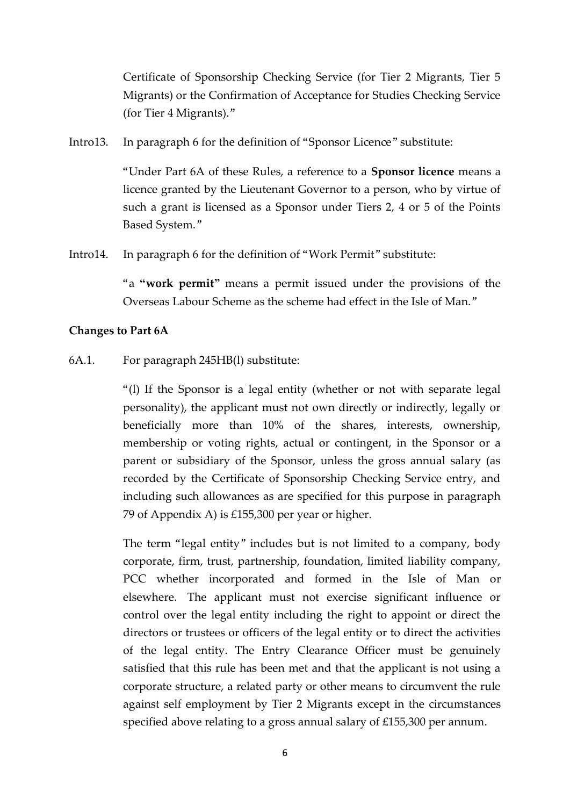Certificate of Sponsorship Checking Service (for Tier 2 Migrants, Tier 5 Migrants) or the Confirmation of Acceptance for Studies Checking Service (for Tier 4 Migrants)."

Intro13. In paragraph 6 for the definition of "Sponsor Licence" substitute:

"Under Part 6A of these Rules, a reference to a **Sponsor licence** means a licence granted by the Lieutenant Governor to a person, who by virtue of such a grant is licensed as a Sponsor under Tiers 2, 4 or 5 of the Points Based System."

Intro14. In paragraph 6 for the definition of "Work Permit" substitute:

"a **"work permit"** means a permit issued under the provisions of the Overseas Labour Scheme as the scheme had effect in the Isle of Man."

#### **Changes to Part 6A**

6A.1. For paragraph 245HB(l) substitute:

"(l) If the Sponsor is a legal entity (whether or not with separate legal personality), the applicant must not own directly or indirectly, legally or beneficially more than 10% of the shares, interests, ownership, membership or voting rights, actual or contingent, in the Sponsor or a parent or subsidiary of the Sponsor, unless the gross annual salary (as recorded by the Certificate of Sponsorship Checking Service entry, and including such allowances as are specified for this purpose in paragraph 79 of Appendix A) is £155,300 per year or higher.

The term "legal entity" includes but is not limited to a company, body corporate, firm, trust, partnership, foundation, limited liability company, PCC whether incorporated and formed in the Isle of Man or elsewhere. The applicant must not exercise significant influence or control over the legal entity including the right to appoint or direct the directors or trustees or officers of the legal entity or to direct the activities of the legal entity. The Entry Clearance Officer must be genuinely satisfied that this rule has been met and that the applicant is not using a corporate structure, a related party or other means to circumvent the rule against self employment by Tier 2 Migrants except in the circumstances specified above relating to a gross annual salary of £155,300 per annum.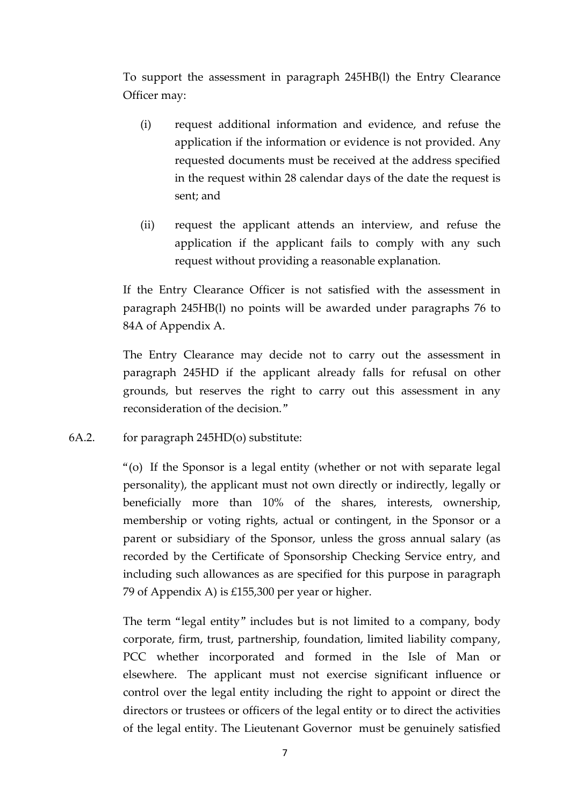To support the assessment in paragraph 245HB(l) the Entry Clearance Officer may:

- (i) request additional information and evidence, and refuse the application if the information or evidence is not provided. Any requested documents must be received at the address specified in the request within 28 calendar days of the date the request is sent; and
- (ii) request the applicant attends an interview, and refuse the application if the applicant fails to comply with any such request without providing a reasonable explanation.

If the Entry Clearance Officer is not satisfied with the assessment in paragraph 245HB(l) no points will be awarded under paragraphs 76 to 84A of Appendix A.

The Entry Clearance may decide not to carry out the assessment in paragraph 245HD if the applicant already falls for refusal on other grounds, but reserves the right to carry out this assessment in any reconsideration of the decision."

6A.2. for paragraph 245HD(o) substitute:

"(o) If the Sponsor is a legal entity (whether or not with separate legal personality), the applicant must not own directly or indirectly, legally or beneficially more than 10% of the shares, interests, ownership, membership or voting rights, actual or contingent, in the Sponsor or a parent or subsidiary of the Sponsor, unless the gross annual salary (as recorded by the Certificate of Sponsorship Checking Service entry, and including such allowances as are specified for this purpose in paragraph 79 of Appendix A) is £155,300 per year or higher.

The term "legal entity" includes but is not limited to a company, body corporate, firm, trust, partnership, foundation, limited liability company, PCC whether incorporated and formed in the Isle of Man or elsewhere. The applicant must not exercise significant influence or control over the legal entity including the right to appoint or direct the directors or trustees or officers of the legal entity or to direct the activities of the legal entity. The Lieutenant Governor must be genuinely satisfied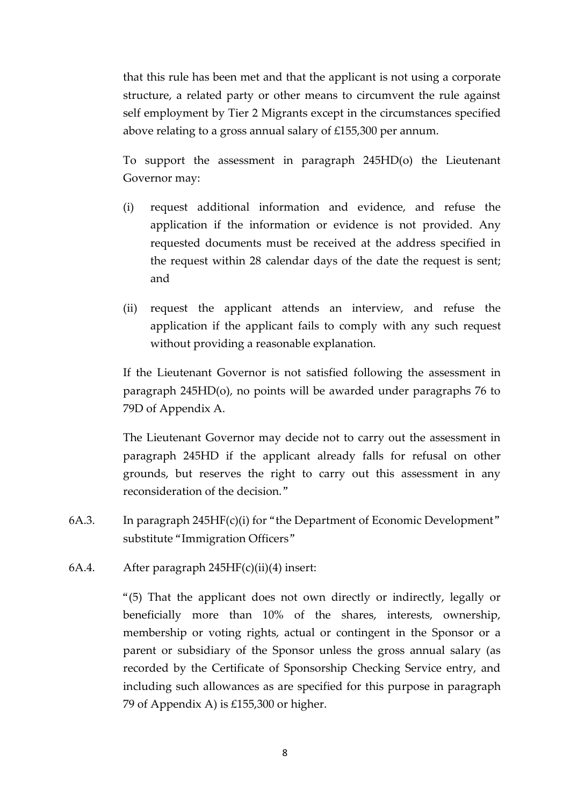that this rule has been met and that the applicant is not using a corporate structure, a related party or other means to circumvent the rule against self employment by Tier 2 Migrants except in the circumstances specified above relating to a gross annual salary of £155,300 per annum.

To support the assessment in paragraph 245HD(o) the Lieutenant Governor may:

- (i) request additional information and evidence, and refuse the application if the information or evidence is not provided. Any requested documents must be received at the address specified in the request within 28 calendar days of the date the request is sent; and
- (ii) request the applicant attends an interview, and refuse the application if the applicant fails to comply with any such request without providing a reasonable explanation.

If the Lieutenant Governor is not satisfied following the assessment in paragraph 245HD(o), no points will be awarded under paragraphs 76 to 79D of Appendix A.

The Lieutenant Governor may decide not to carry out the assessment in paragraph 245HD if the applicant already falls for refusal on other grounds, but reserves the right to carry out this assessment in any reconsideration of the decision."

- 6A.3. In paragraph 245HF(c)(i) for "the Department of Economic Development" substitute "Immigration Officers"
- 6A.4. After paragraph 245HF(c)(ii)(4) insert:

"(5) That the applicant does not own directly or indirectly, legally or beneficially more than 10% of the shares, interests, ownership, membership or voting rights, actual or contingent in the Sponsor or a parent or subsidiary of the Sponsor unless the gross annual salary (as recorded by the Certificate of Sponsorship Checking Service entry, and including such allowances as are specified for this purpose in paragraph 79 of Appendix A) is £155,300 or higher.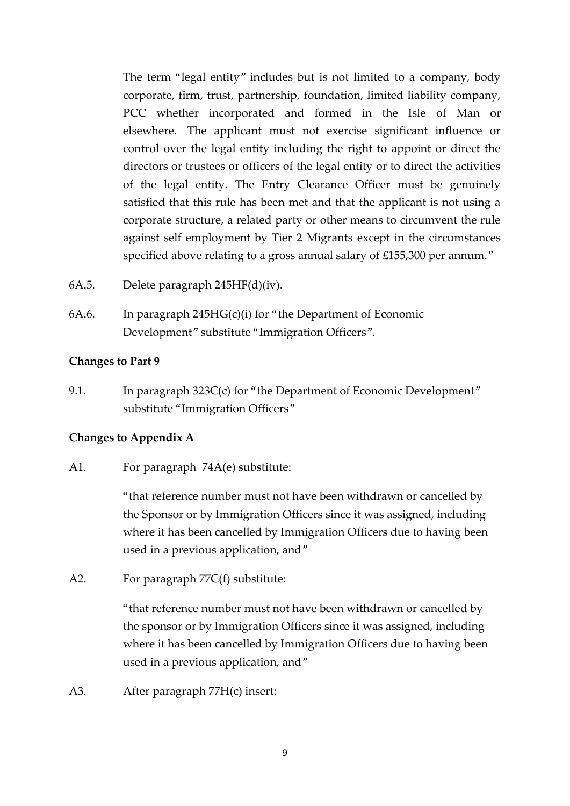The term "legal entity" includes but is not limited to a company, body corporate, firm, trust, partnership, foundation, limited liability company, PCC whether incorporated and formed in the Isle of Man or elsewhere. The applicant must not exercise significant influence or control over the legal entity including the right to appoint or direct the directors or trustees or officers of the legal entity or to direct the activities of the legal entity. The Entry Clearance Officer must be genuinely satisfied that this rule has been met and that the applicant is not using a corporate structure, a related party or other means to circumvent the rule against self employment by Tier 2 Migrants except in the circumstances specified above relating to a gross annual salary of £155,300 per annum."

- 6A.5. Delete paragraph 245HF(d)(iv).
- 6A.6. In paragraph 245HG(c)(i) for "the Department of Economic Development" substitute "Immigration Officers".

#### **Changes to Part 9**

9.1. In paragraph 323C(c) for "the Department of Economic Development" substitute "Immigration Officers"

#### **Changes to Appendix A**

A1. For paragraph 74A(e) substitute:

"that reference number must not have been withdrawn or cancelled by the Sponsor or by Immigration Officers since it was assigned, including where it has been cancelled by Immigration Officers due to having been used in a previous application, and"

A2. For paragraph 77C(f) substitute:

"that reference number must not have been withdrawn or cancelled by the sponsor or by Immigration Officers since it was assigned, including where it has been cancelled by Immigration Officers due to having been used in a previous application, and"

A3. After paragraph 77H(c) insert: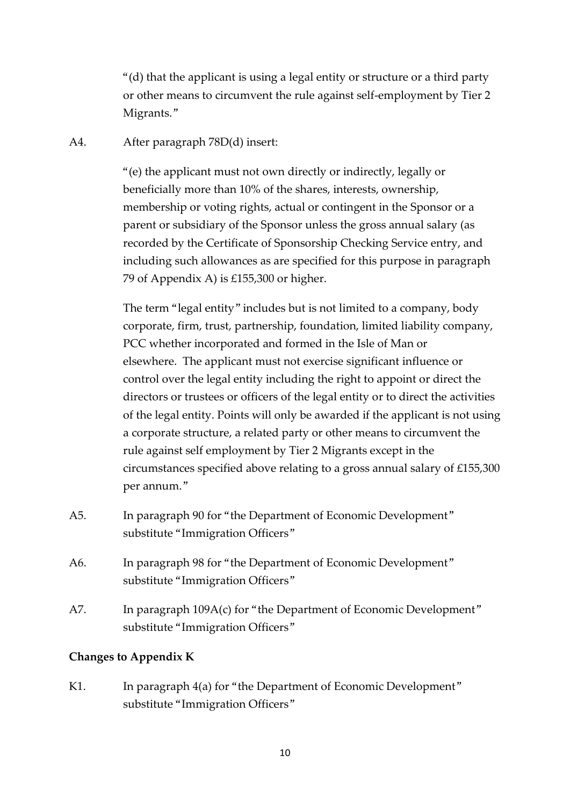"(d) that the applicant is using a legal entity or structure or a third party or other means to circumvent the rule against self-employment by Tier 2 Migrants."

A4. After paragraph 78D(d) insert:

"(e) the applicant must not own directly or indirectly, legally or beneficially more than 10% of the shares, interests, ownership, membership or voting rights, actual or contingent in the Sponsor or a parent or subsidiary of the Sponsor unless the gross annual salary (as recorded by the Certificate of Sponsorship Checking Service entry, and including such allowances as are specified for this purpose in paragraph 79 of Appendix A) is £155,300 or higher.

The term "legal entity" includes but is not limited to a company, body corporate, firm, trust, partnership, foundation, limited liability company, PCC whether incorporated and formed in the Isle of Man or elsewhere. The applicant must not exercise significant influence or control over the legal entity including the right to appoint or direct the directors or trustees or officers of the legal entity or to direct the activities of the legal entity. Points will only be awarded if the applicant is not using a corporate structure, a related party or other means to circumvent the rule against self employment by Tier 2 Migrants except in the circumstances specified above relating to a gross annual salary of £155,300 per annum."

- A5. In paragraph 90 for "the Department of Economic Development" substitute "Immigration Officers"
- A6. In paragraph 98 for "the Department of Economic Development" substitute "Immigration Officers"
- A7. In paragraph 109A(c) for "the Department of Economic Development" substitute "Immigration Officers"

#### **Changes to Appendix K**

K1. In paragraph 4(a) for "the Department of Economic Development" substitute "Immigration Officers"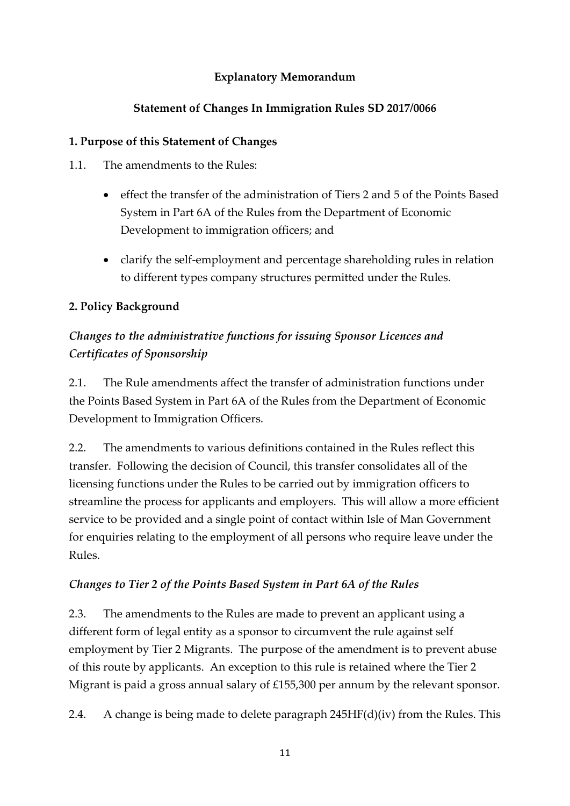## **Explanatory Memorandum**

## **Statement of Changes In Immigration Rules SD 2017/0066**

### **1. Purpose of this Statement of Changes**

- 1.1. The amendments to the Rules:
	- effect the transfer of the administration of Tiers 2 and 5 of the Points Based System in Part 6A of the Rules from the Department of Economic Development to immigration officers; and
	- clarify the self-employment and percentage shareholding rules in relation to different types company structures permitted under the Rules.

## **2. Policy Background**

## *Changes to the administrative functions for issuing Sponsor Licences and Certificates of Sponsorship*

2.1. The Rule amendments affect the transfer of administration functions under the Points Based System in Part 6A of the Rules from the Department of Economic Development to Immigration Officers.

2.2. The amendments to various definitions contained in the Rules reflect this transfer. Following the decision of Council, this transfer consolidates all of the licensing functions under the Rules to be carried out by immigration officers to streamline the process for applicants and employers. This will allow a more efficient service to be provided and a single point of contact within Isle of Man Government for enquiries relating to the employment of all persons who require leave under the Rules.

## *Changes to Tier 2 of the Points Based System in Part 6A of the Rules*

2.3. The amendments to the Rules are made to prevent an applicant using a different form of legal entity as a sponsor to circumvent the rule against self employment by Tier 2 Migrants. The purpose of the amendment is to prevent abuse of this route by applicants. An exception to this rule is retained where the Tier 2 Migrant is paid a gross annual salary of £155,300 per annum by the relevant sponsor.

2.4. A change is being made to delete paragraph 245HF(d)(iv) from the Rules. This